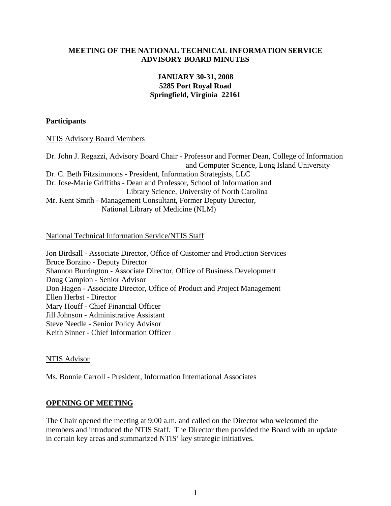#### **MEETING OF THE NATIONAL TECHNICAL INFORMATION SERVICE ADVISORY BOARD MINUTES**

### **JANUARY 30-31, 2008 5285 Port Royal Road Springfield, Virginia 22161**

#### **Participants**

#### NTIS Advisory Board Members

Dr. John J. Regazzi, Advisory Board Chair - Professor and Former Dean, College of Information and Computer Science, Long Island University Dr. C. Beth Fitzsimmons - President, Information Strategists, LLC Dr. Jose-Marie Griffiths - Dean and Professor, School of Information and Library Science, University of North Carolina Mr. Kent Smith - Management Consultant, Former Deputy Director, National Library of Medicine (NLM)

#### National Technical Information Service/NTIS Staff

Jon Birdsall - Associate Director, Office of Customer and Production Services Bruce Borzino - Deputy Director Shannon Burrington - Associate Director, Office of Business Development Doug Campion - Senior Advisor Don Hagen - Associate Director, Office of Product and Project Management Ellen Herbst - Director Mary Houff - Chief Financial Officer Jill Johnson - Administrative Assistant Steve Needle - Senior Policy Advisor Keith Sinner - Chief Information Officer

#### NTIS Advisor

Ms. Bonnie Carroll - President, Information International Associates

#### **OPENING OF MEETING**

The Chair opened the meeting at 9:00 a.m. and called on the Director who welcomed the members and introduced the NTIS Staff. The Director then provided the Board with an update in certain key areas and summarized NTIS' key strategic initiatives.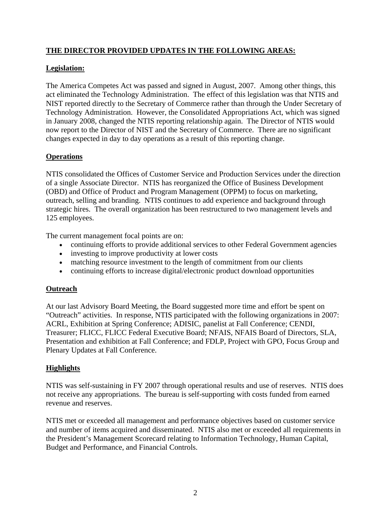# **THE DIRECTOR PROVIDED UPDATES IN THE FOLLOWING AREAS:**

## **Legislation:**

The America Competes Act was passed and signed in August, 2007. Among other things, this act eliminated the Technology Administration. The effect of this legislation was that NTIS and NIST reported directly to the Secretary of Commerce rather than through the Under Secretary of Technology Administration. However, the Consolidated Appropriations Act, which was signed in January 2008, changed the NTIS reporting relationship again. The Director of NTIS would now report to the Director of NIST and the Secretary of Commerce. There are no significant changes expected in day to day operations as a result of this reporting change.

## **Operations**

NTIS consolidated the Offices of Customer Service and Production Services under the direction of a single Associate Director. NTIS has reorganized the Office of Business Development (OBD) and Office of Product and Program Management (OPPM) to focus on marketing, outreach, selling and branding. NTIS continues to add experience and background through strategic hires. The overall organization has been restructured to two management levels and 125 employees.

The current management focal points are on:

- continuing efforts to provide additional services to other Federal Government agencies
- investing to improve productivity at lower costs
- matching resource investment to the length of commitment from our clients
- continuing efforts to increase digital/electronic product download opportunities

## **Outreach**

At our last Advisory Board Meeting, the Board suggested more time and effort be spent on "Outreach" activities. In response, NTIS participated with the following organizations in 2007: ACRL, Exhibition at Spring Conference; ADISIC, panelist at Fall Conference; CENDI, Treasurer; FLICC, FLICC Federal Executive Board; NFAIS, NFAIS Board of Directors, SLA, Presentation and exhibition at Fall Conference; and FDLP, Project with GPO, Focus Group and Plenary Updates at Fall Conference.

## **Highlights**

NTIS was self-sustaining in FY 2007 through operational results and use of reserves. NTIS does not receive any appropriations. The bureau is self-supporting with costs funded from earned revenue and reserves.

NTIS met or exceeded all management and performance objectives based on customer service and number of items acquired and disseminated. NTIS also met or exceeded all requirements in the President's Management Scorecard relating to Information Technology, Human Capital, Budget and Performance, and Financial Controls.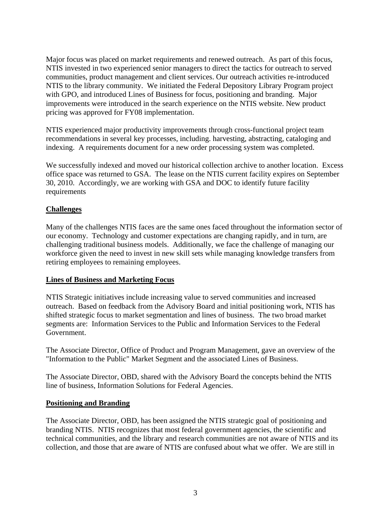Major focus was placed on market requirements and renewed outreach. As part of this focus, NTIS invested in two experienced senior managers to direct the tactics for outreach to served communities, product management and client services. Our outreach activities re-introduced NTIS to the library community. We initiated the Federal Depository Library Program project with GPO, and introduced Lines of Business for focus, positioning and branding. Major improvements were introduced in the search experience on the NTIS website. New product pricing was approved for FY08 implementation.

NTIS experienced major productivity improvements through cross-functional project team recommendations in several key processes, including. harvesting, abstracting, cataloging and indexing. A requirements document for a new order processing system was completed.

We successfully indexed and moved our historical collection archive to another location. Excess office space was returned to GSA. The lease on the NTIS current facility expires on September 30, 2010. Accordingly, we are working with GSA and DOC to identify future facility requirements

## **Challenges**

Many of the challenges NTIS faces are the same ones faced throughout the information sector of our economy. Technology and customer expectations are changing rapidly, and in turn, are challenging traditional business models. Additionally, we face the challenge of managing our workforce given the need to invest in new skill sets while managing knowledge transfers from retiring employees to remaining employees.

#### **Lines of Business and Marketing Focus**

NTIS Strategic initiatives include increasing value to served communities and increased outreach. Based on feedback from the Advisory Board and initial positioning work, NTIS has shifted strategic focus to market segmentation and lines of business. The two broad market segments are: Information Services to the Public and Information Services to the Federal Government.

The Associate Director, Office of Product and Program Management, gave an overview of the "Information to the Public" Market Segment and the associated Lines of Business.

The Associate Director, OBD, shared with the Advisory Board the concepts behind the NTIS line of business, Information Solutions for Federal Agencies.

#### **Positioning and Branding**

The Associate Director, OBD, has been assigned the NTIS strategic goal of positioning and branding NTIS. NTIS recognizes that most federal government agencies, the scientific and technical communities, and the library and research communities are not aware of NTIS and its collection, and those that are aware of NTIS are confused about what we offer. We are still in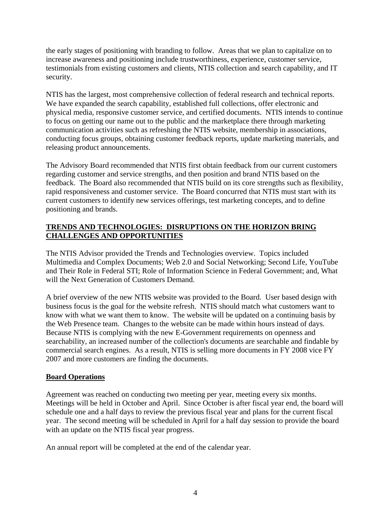the early stages of positioning with branding to follow. Areas that we plan to capitalize on to increase awareness and positioning include trustworthiness, experience, customer service, testimonials from existing customers and clients, NTIS collection and search capability, and IT security.

NTIS has the largest, most comprehensive collection of federal research and technical reports. We have expanded the search capability, established full collections, offer electronic and physical media, responsive customer service, and certified documents. NTIS intends to continue to focus on getting our name out to the public and the marketplace there through marketing communication activities such as refreshing the NTIS website, membership in associations, conducting focus groups, obtaining customer feedback reports, update marketing materials, and releasing product announcements.

The Advisory Board recommended that NTIS first obtain feedback from our current customers regarding customer and service strengths, and then position and brand NTIS based on the feedback. The Board also recommended that NTIS build on its core strengths such as flexibility, rapid responsiveness and customer service. The Board concurred that NTIS must start with its current customers to identify new services offerings, test marketing concepts, and to define positioning and brands.

# **TRENDS AND TECHNOLOGIES: DISRUPTIONS ON THE HORIZON BRING CHALLENGES AND OPPORTUNITIES**

The NTIS Advisor provided the Trends and Technologies overview. Topics included Multimedia and Complex Documents; Web 2.0 and Social Networking; Second Life, YouTube and Their Role in Federal STI; Role of Information Science in Federal Government; and, What will the Next Generation of Customers Demand.

A brief overview of the new NTIS website was provided to the Board. User based design with business focus is the goal for the website refresh. NTIS should match what customers want to know with what we want them to know. The website will be updated on a continuing basis by the Web Presence team. Changes to the website can be made within hours instead of days. Because NTIS is complying with the new E-Government requirements on openness and searchability, an increased number of the collection's documents are searchable and findable by commercial search engines. As a result, NTIS is selling more documents in FY 2008 vice FY 2007 and more customers are finding the documents.

## **Board Operations**

Agreement was reached on conducting two meeting per year, meeting every six months. Meetings will be held in October and April. Since October is after fiscal year end, the board will schedule one and a half days to review the previous fiscal year and plans for the current fiscal year. The second meeting will be scheduled in April for a half day session to provide the board with an update on the NTIS fiscal year progress.

An annual report will be completed at the end of the calendar year.